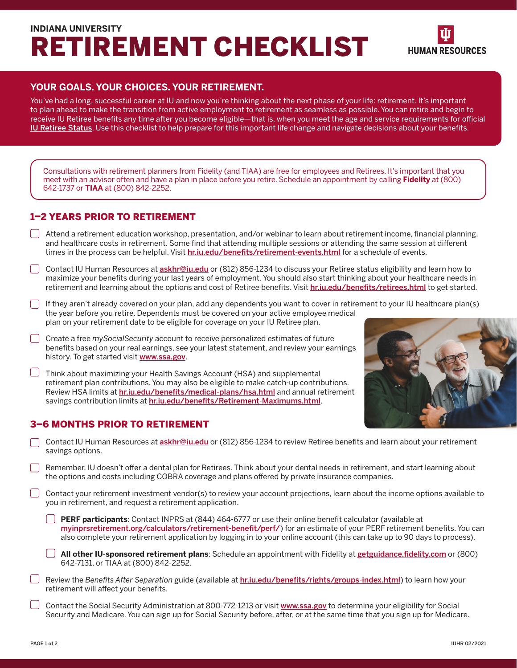# **INDIANA UNIVERSITY**  RETIREMENT CHECKLIST



#### **YOUR GOALS. YOUR CHOICES. YOUR RETIREMENT.**

You've had a long, successful career at IU and now you're thinking about the next phase of your life: retirement. It's important to plan ahead to make the transition from active employment to retirement as seamless as possible. You can retire and begin to receive IU Retiree benefits any time after you become eligible—that is, when you meet the age and service requirements for official [IU Retiree Status](https://hr.iu.edu/benefits/retirestatus.html). Use this checklist to help prepare for this important life change and navigate decisions about your benefts.

Consultations with retirement planners from Fidelity (and TIAA) are free for employees and Retirees. It's important that you meet with an advisor often and have a plan in place before you retire. Schedule an appointment by calling **Fidelity** at (800) 642-1737 or **TIAA** at (800) 842-2252.

#### 1–2 YEARS PRIOR TO RETIREMENT

*r* 

- D Attend a retirement education workshop, presentation, and/or webinar to learn about retirement income, fnancial planning, and healthcare costs in retirement. Some find that attending multiple sessions or attending the same session at different times in the process can be helpful. Visit hr.iu.edu/benefits/retirement-events.html for a schedule of events.
- ◯ Contact IU Human Resources at **<u>[askhr@iu.edu](mailto:askhr@iu.edu)</u> or** (812) 856-1234 to discuss your Retiree status eligibility and learn how to maximize your benefts during your last years of employment. You should also start thinking about your healthcare needs in retirement and learning about the options and cost of Retiree benefits. Visit hr.iu.edu/benefits/retirees.html to get started.
- D If they aren't already covered on your plan, add any dependents you want to cover in retirement to your IU healthcare plan(s) the year before you retire. Dependents must be covered on your active employee medical plan on your retirement date to be eligible for coverage on your IU Retiree plan.
- D Create a free *mySocialSecurity* account to receive personalized estimates of future benefits based on your real earnings, see your latest statement, and review your earnings history. To get started visit <www.ssa.gov>.
- $\Box$  Think about maximizing your Health Savings Account (HSA) and supplemental retirement plan contributions. You may also be eligible to make catch-up contributions. Review HSA limits at hr.iu.edu/benefits/medical-plans/hsa.html and annual retirement savings contribution limits at [hr.iu.edu/benefts/Retirement-Maximums.html](https://hr.iu.edu/benefits/Retirement-Maximums.html).

### 3–6 MONTHS PRIOR TO RETIREMENT



- $\Box$ Contact IU Human Resources at *[askhr@iu.edu](mailto:askhr@iu.edu)* or (812) 856-1234 to review Retiree benefits and learn about your retirement savings options.
- $\Box$ Remember, IU doesn't offer a dental plan for Retirees. Think about your dental needs in retirement, and start learning about the options and costs including COBRA coverage and plans offered by private insurance companies.
- D Contact your retirement investment vendor(s) to review your account projections, learn about the income options available to you in retirement, and request a retirement application.
	- **D PERF participants**: Contact INPRS at (844) 464-6777 or use their online benefit calculator (available at myinprsretirement.org/calculators/retirement-benefit/perf/) for an estimate of your PERF retirement benefits. You can also complete your retirement application by logging in to your online account (this can take up to 90 days to process).
	- D **All other IU-sponsored retirement plans**: Schedule an appointment with Fidelity at [getguidance.fdelity.com](http://getguidance.fidelity.com/) or (800) 642-7131, or TIAA at (800) 842-2252.
- □ Review the *Benefits After Separation* guide (available at <u>hr.i<mark>u.edu/benefits/rights/groups-index.html</mark>)</u> to learn how your retirement will affect your benefits.
- $\Box$ Contact the Social Security Administration at 800-772-1213 or visit <www.ssa.gov> to determine your eligibility for Social Security and Medicare. You can sign up for Social Security before, after, or at the same time that you sign up for Medicare.